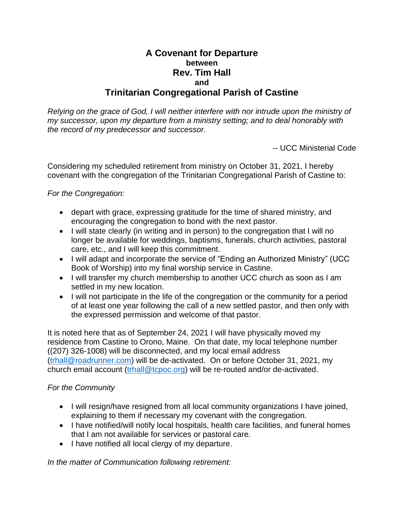## **A Covenant for Departure between Rev. Tim Hall and Trinitarian Congregational Parish of Castine**

*Relying on the grace of God, I will neither interfere with nor intrude upon the ministry of my successor, upon my departure from a ministry setting; and to deal honorably with the record of my predecessor and successor.*

-- UCC Ministerial Code

Considering my scheduled retirement from ministry on October 31, 2021, I hereby covenant with the congregation of the Trinitarian Congregational Parish of Castine to:

## *For the Congregation:*

- depart with grace, expressing gratitude for the time of shared ministry, and encouraging the congregation to bond with the next pastor.
- I will state clearly (in writing and in person) to the congregation that I will no longer be available for weddings, baptisms, funerals, church activities, pastoral care, etc., and I will keep this commitment.
- I will adapt and incorporate the service of "Ending an Authorized Ministry" (UCC Book of Worship) into my final worship service in Castine.
- I will transfer my church membership to another UCC church as soon as I am settled in my new location.
- I will not participate in the life of the congregation or the community for a period of at least one year following the call of a new settled pastor, and then only with the expressed permission and welcome of that pastor.

It is noted here that as of September 24, 2021 I will have physically moved my residence from Castine to Orono, Maine. On that date, my local telephone number ((207) 326-1008) will be disconnected, and my local email address [\(trhall@roadrunner.com\)](mailto:trhall@roadrunner.com) will be de-activated. On or before October 31, 2021, my church email account [\(trhall@tcpoc.org\)](mailto:trhall@tcpoc.org) will be re-routed and/or de-activated.

## *For the Community*

- I will resign/have resigned from all local community organizations I have joined, explaining to them if necessary my covenant with the congregation.
- I have notified/will notify local hospitals, health care facilities, and funeral homes that I am not available for services or pastoral care.
- I have notified all local clergy of my departure.

*In the matter of Communication following retirement:*